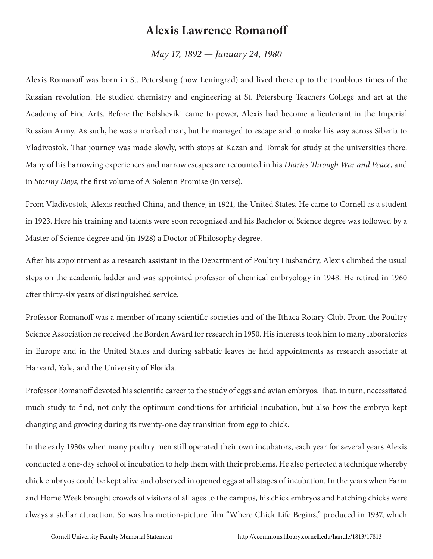## **Alexis Lawrence Romanoff**

## *May 17, 1892 — January 24, 1980*

Alexis Romanoff was born in St. Petersburg (now Leningrad) and lived there up to the troublous times of the Russian revolution. He studied chemistry and engineering at St. Petersburg Teachers College and art at the Academy of Fine Arts. Before the Bolsheviki came to power, Alexis had become a lieutenant in the Imperial Russian Army. As such, he was a marked man, but he managed to escape and to make his way across Siberia to Vladivostok. That journey was made slowly, with stops at Kazan and Tomsk for study at the universities there. Many of his harrowing experiences and narrow escapes are recounted in his *Diaries Through War and Peace*, and in *Stormy Days*, the first volume of A Solemn Promise (in verse).

From Vladivostok, Alexis reached China, and thence, in 1921, the United States. He came to Cornell as a student in 1923. Here his training and talents were soon recognized and his Bachelor of Science degree was followed by a Master of Science degree and (in 1928) a Doctor of Philosophy degree.

After his appointment as a research assistant in the Department of Poultry Husbandry, Alexis climbed the usual steps on the academic ladder and was appointed professor of chemical embryology in 1948. He retired in 1960 after thirty-six years of distinguished service.

Professor Romanoff was a member of many scientific societies and of the Ithaca Rotary Club. From the Poultry Science Association he received the Borden Award for research in 1950. His interests took him to many laboratories in Europe and in the United States and during sabbatic leaves he held appointments as research associate at Harvard, Yale, and the University of Florida.

Professor Romanoff devoted his scientific career to the study of eggs and avian embryos. That, in turn, necessitated much study to find, not only the optimum conditions for artificial incubation, but also how the embryo kept changing and growing during its twenty-one day transition from egg to chick.

In the early 1930s when many poultry men still operated their own incubators, each year for several years Alexis conducted a one-day school of incubation to help them with their problems. He also perfected a technique whereby chick embryos could be kept alive and observed in opened eggs at all stages of incubation. In the years when Farm and Home Week brought crowds of visitors of all ages to the campus, his chick embryos and hatching chicks were always a stellar attraction. So was his motion-picture film "Where Chick Life Begins," produced in 1937, which